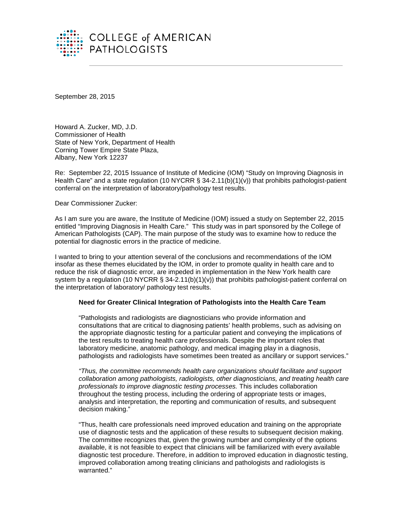

September 28, 2015

Howard A. Zucker, MD, J.D. Commissioner of Health State of New York, Department of Health Corning Tower Empire State Plaza, Albany, New York 12237

Re: September 22, 2015 Issuance of Institute of Medicine (IOM) "Study on Improving Diagnosis in Health Care" and a state regulation (10 NYCRR  $\S$  34-2.11(b)(1)(v)) that prohibits pathologist-patient conferral on the interpretation of laboratory/pathology test results.

Dear Commissioner Zucker:

As I am sure you are aware, the Institute of Medicine (IOM) issued a study on September 22, 2015 entitled "Improving Diagnosis in Health Care." This study was in part sponsored by the College of American Pathologists (CAP). The main purpose of the study was to examine how to reduce the potential for diagnostic errors in the practice of medicine.

I wanted to bring to your attention several of the conclusions and recommendations of the IOM insofar as these themes elucidated by the IOM, in order to promote quality in health care and to reduce the risk of diagnostic error, are impeded in implementation in the New York health care system by a regulation (10 NYCRR § 34-2.11(b)(1)(v)) that prohibits pathologist-patient conferral on the interpretation of laboratory/ pathology test results.

## **Need for Greater Clinical Integration of Pathologists into the Health Care Team**

"Pathologists and radiologists are diagnosticians who provide information and consultations that are critical to diagnosing patients' health problems, such as advising on the appropriate diagnostic testing for a particular patient and conveying the implications of the test results to treating health care professionals. Despite the important roles that laboratory medicine, anatomic pathology, and medical imaging play in a diagnosis, pathologists and radiologists have sometimes been treated as ancillary or support services."

*"Thus, the committee recommends health care organizations should facilitate and support collaboration among pathologists, radiologists, other diagnosticians, and treating health care professionals to improve diagnostic testing processes.* This includes collaboration throughout the testing process, including the ordering of appropriate tests or images, analysis and interpretation, the reporting and communication of results, and subsequent decision making."

"Thus, health care professionals need improved education and training on the appropriate use of diagnostic tests and the application of these results to subsequent decision making. The committee recognizes that, given the growing number and complexity of the options available, it is not feasible to expect that clinicians will be familiarized with every available diagnostic test procedure. Therefore, in addition to improved education in diagnostic testing, improved collaboration among treating clinicians and pathologists and radiologists is warranted."